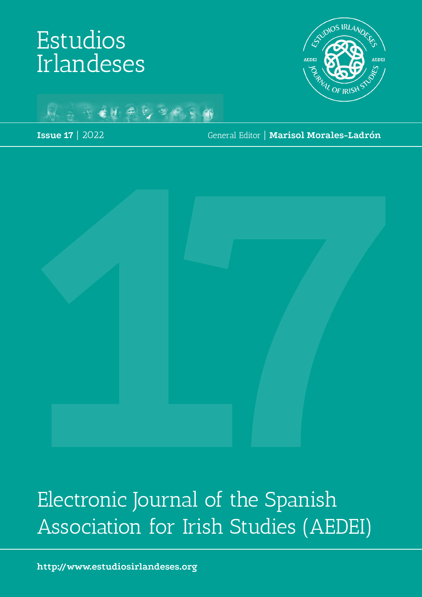# Estudios Irlandeses





**Issue 17** | 2022

General Editor | **Marisol Morales-Ladrón**



Electronic Journal of the Spanish Association for Irish Studies (AEDEI)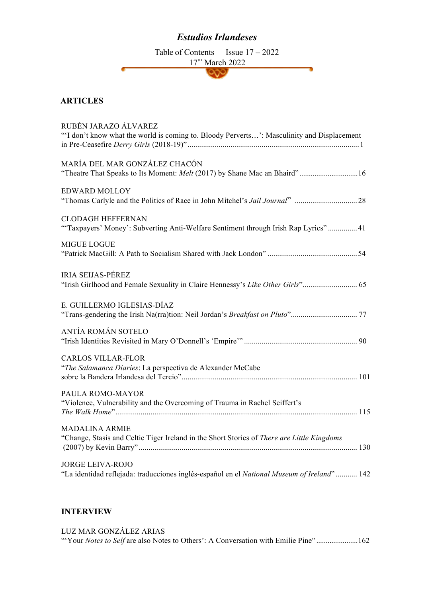## *Estudios Irlandeses*

Table of Contents Issue  $17 - 2022$  $\frac{17^{\text{m}} \text{March } 2022}{\text{QQ}}$ 

ъ

#### **ARTICLES**

| RUBÉN JARAZO ÁLVAREZ<br>"'I don't know what the world is coming to. Bloody Perverts': Masculinity and Displacement |  |
|--------------------------------------------------------------------------------------------------------------------|--|
|                                                                                                                    |  |
| MARÍA DEL MAR GONZÁLEZ CHACÓN                                                                                      |  |
|                                                                                                                    |  |
| <b>EDWARD MOLLOY</b>                                                                                               |  |
|                                                                                                                    |  |
| <b>CLODAGH HEFFERNAN</b>                                                                                           |  |
| "Taxpayers' Money': Subverting Anti-Welfare Sentiment through Irish Rap Lyrics" 41                                 |  |
| <b>MIGUE LOGUE</b>                                                                                                 |  |
|                                                                                                                    |  |
|                                                                                                                    |  |
| <b>IRIA SEIJAS-PÉREZ</b>                                                                                           |  |
|                                                                                                                    |  |
| E. GUILLERMO IGLESIAS-DÍAZ                                                                                         |  |
|                                                                                                                    |  |
| ANTÍA ROMÁN SOTELO                                                                                                 |  |
|                                                                                                                    |  |
| <b>CARLOS VILLAR-FLOR</b>                                                                                          |  |
| "The Salamanca Diaries: La perspectiva de Alexander McCabe                                                         |  |
|                                                                                                                    |  |
| PAULA ROMO-MAYOR                                                                                                   |  |
| "Violence, Vulnerability and the Overcoming of Trauma in Rachel Seiffert's                                         |  |
|                                                                                                                    |  |
| <b>MADALINA ARMIE</b>                                                                                              |  |
| "Change, Stasis and Celtic Tiger Ireland in the Short Stories of There are Little Kingdoms                         |  |
|                                                                                                                    |  |
| <b>JORGE LEIVA-ROJO</b>                                                                                            |  |
| "La identidad reflejada: traducciones inglés-español en el National Museum of Ireland"  142                        |  |
|                                                                                                                    |  |

### **INTERVIEW**

| LUZ MAR GONZÁLEZ ARIAS                                                                    |  |
|-------------------------------------------------------------------------------------------|--|
| "Your <i>Notes to Self</i> are also Notes to Others': A Conversation with Emilie Pine"162 |  |